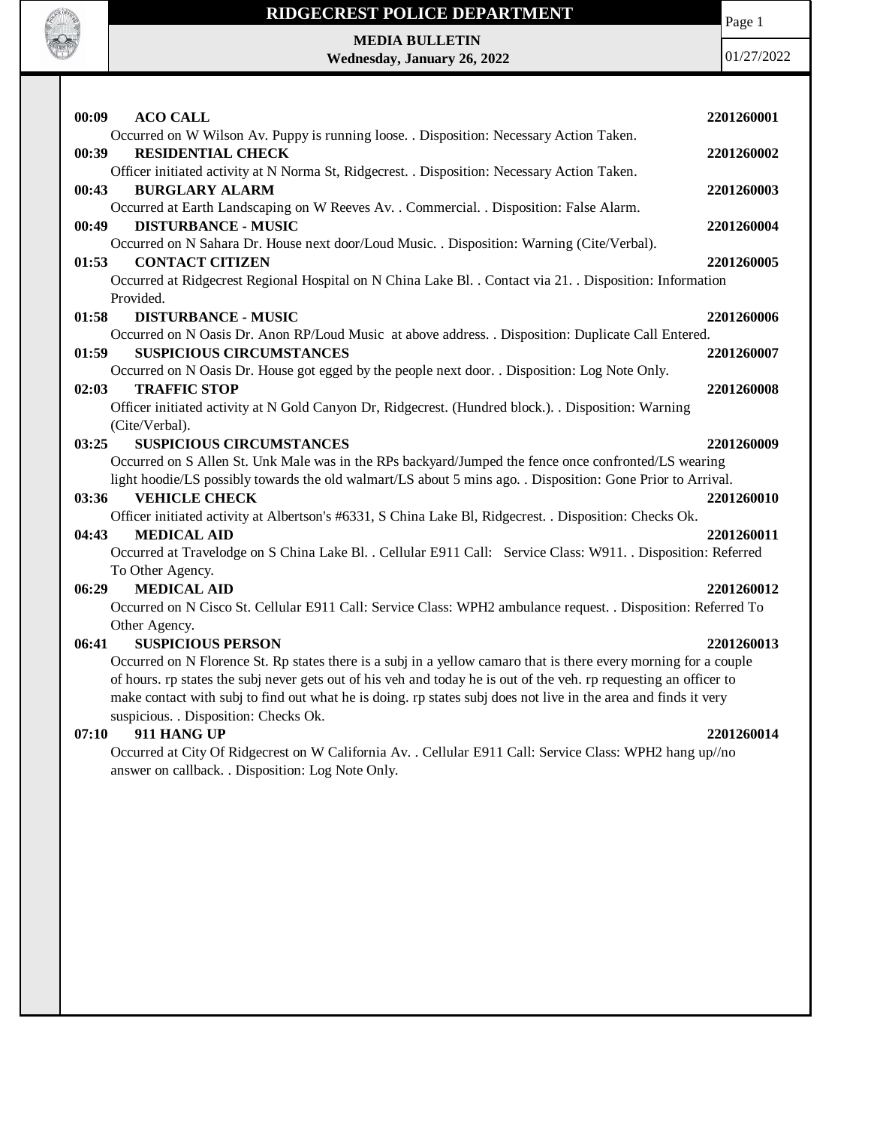

# **RIDGECREST POLICE DEPARTMENT MEDIA BULLETIN**

**Wednesday, January 26, 2022**

Page 1

01/27/2022

| 00:09<br><b>ACO CALL</b>                                                                                              | 2201260001 |
|-----------------------------------------------------------------------------------------------------------------------|------------|
| Occurred on W Wilson Av. Puppy is running loose. . Disposition: Necessary Action Taken.                               |            |
| <b>RESIDENTIAL CHECK</b><br>00:39                                                                                     | 2201260002 |
| Officer initiated activity at N Norma St, Ridgecrest. . Disposition: Necessary Action Taken.                          |            |
| 00:43<br><b>BURGLARY ALARM</b>                                                                                        | 2201260003 |
| Occurred at Earth Landscaping on W Reeves Av. . Commercial. . Disposition: False Alarm.<br><b>DISTURBANCE - MUSIC</b> |            |
| 00:49<br>Occurred on N Sahara Dr. House next door/Loud Music. . Disposition: Warning (Cite/Verbal).                   | 2201260004 |
| 01:53<br><b>CONTACT CITIZEN</b>                                                                                       | 2201260005 |
| Occurred at Ridgecrest Regional Hospital on N China Lake Bl. . Contact via 21. . Disposition: Information             |            |
| Provided.                                                                                                             |            |
| 01:58<br><b>DISTURBANCE - MUSIC</b>                                                                                   | 2201260006 |
| Occurred on N Oasis Dr. Anon RP/Loud Music at above address. . Disposition: Duplicate Call Entered.                   |            |
| <b>SUSPICIOUS CIRCUMSTANCES</b><br>01:59                                                                              | 2201260007 |
| Occurred on N Oasis Dr. House got egged by the people next door. . Disposition: Log Note Only.                        |            |
| <b>TRAFFIC STOP</b><br>02:03                                                                                          | 2201260008 |
| Officer initiated activity at N Gold Canyon Dr, Ridgecrest. (Hundred block.). . Disposition: Warning                  |            |
| (Cite/Verbal).                                                                                                        |            |
| <b>SUSPICIOUS CIRCUMSTANCES</b><br>03:25                                                                              | 2201260009 |
| Occurred on S Allen St. Unk Male was in the RPs backyard/Jumped the fence once confronted/LS wearing                  |            |
| light hoodie/LS possibly towards the old walmart/LS about 5 mins ago. . Disposition: Gone Prior to Arrival.           |            |
| <b>VEHICLE CHECK</b><br>03:36                                                                                         | 2201260010 |
| Officer initiated activity at Albertson's #6331, S China Lake Bl, Ridgecrest. . Disposition: Checks Ok.               |            |
| <b>MEDICAL AID</b><br>04:43                                                                                           | 2201260011 |
| Occurred at Travelodge on S China Lake Bl. . Cellular E911 Call: Service Class: W911. . Disposition: Referred         |            |
| To Other Agency.                                                                                                      |            |
| <b>MEDICAL AID</b><br>06:29                                                                                           | 2201260012 |
| Occurred on N Cisco St. Cellular E911 Call: Service Class: WPH2 ambulance request. . Disposition: Referred To         |            |
| Other Agency.                                                                                                         |            |
| <b>SUSPICIOUS PERSON</b><br>06:41                                                                                     | 2201260013 |
| Occurred on N Florence St. Rp states there is a subj in a yellow camaro that is there every morning for a couple      |            |
| of hours. rp states the subj never gets out of his veh and today he is out of the veh. rp requesting an officer to    |            |
| make contact with subj to find out what he is doing. rp states subj does not live in the area and finds it very       |            |
| suspicious. . Disposition: Checks Ok.                                                                                 |            |

#### **07:10 911 HANG UP 2201260014**

Occurred at City Of Ridgecrest on W California Av. . Cellular E911 Call: Service Class: WPH2 hang up//no answer on callback. . Disposition: Log Note Only.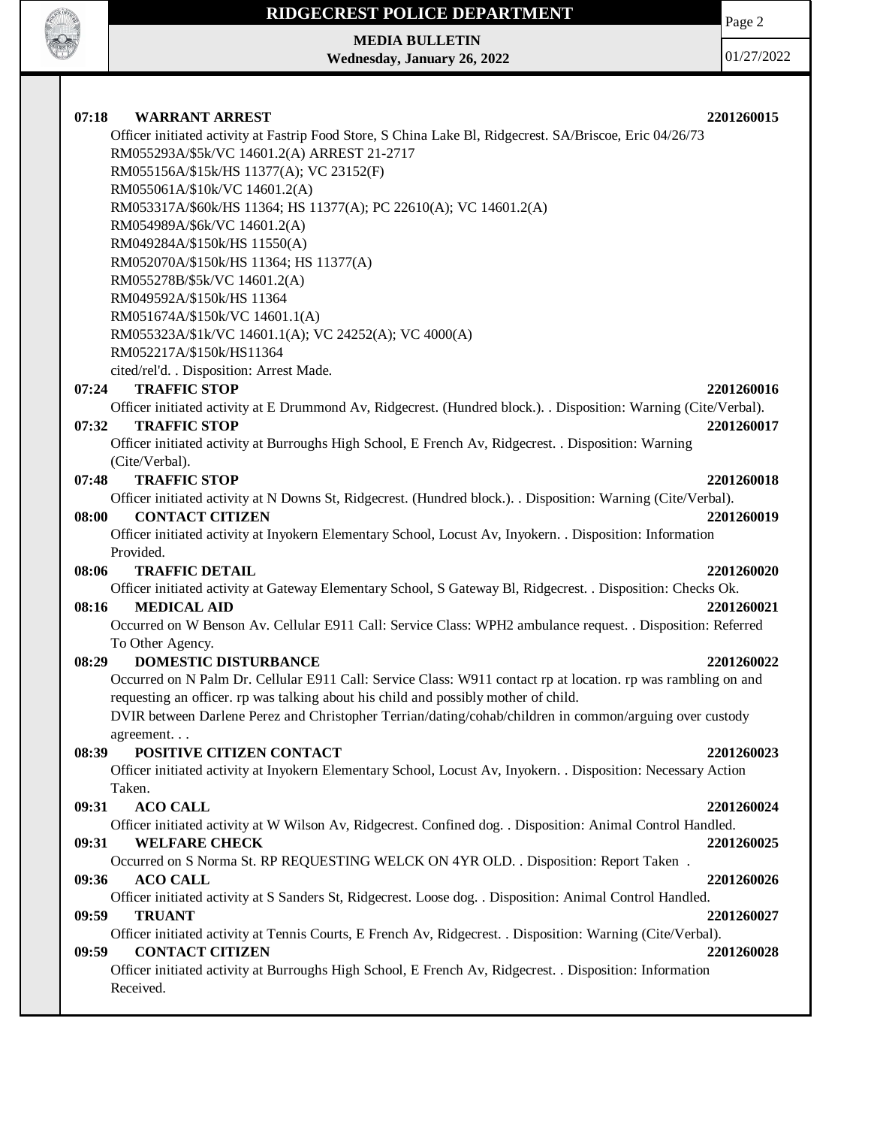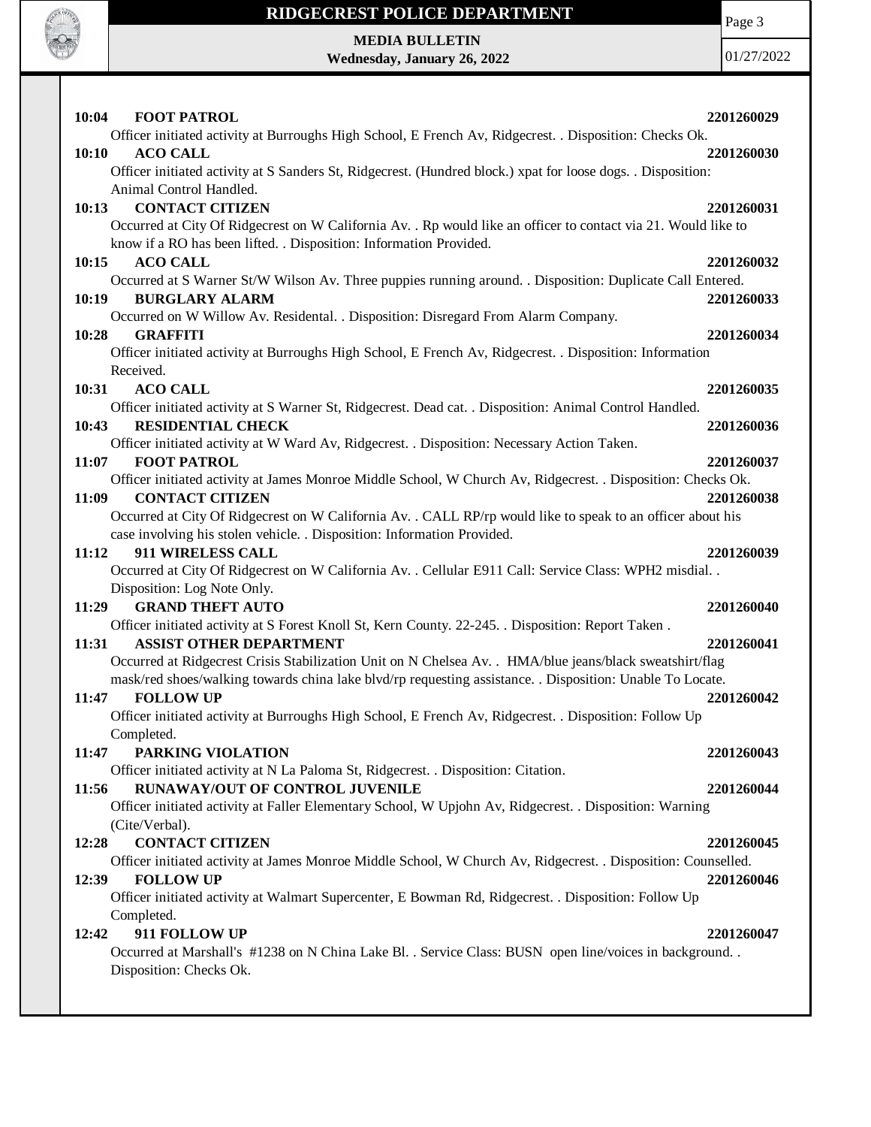

Page 3

**MEDIA BULLETIN Wednesday, January 26, 2022**

| 10:04<br><b>FOOT PATROL</b>                                                                                                                     | 2201260029 |
|-------------------------------------------------------------------------------------------------------------------------------------------------|------------|
| Officer initiated activity at Burroughs High School, E French Av, Ridgecrest. . Disposition: Checks Ok.                                         |            |
| <b>ACO CALL</b><br>10:10                                                                                                                        | 2201260030 |
| Officer initiated activity at S Sanders St, Ridgecrest. (Hundred block.) xpat for loose dogs. . Disposition:                                    |            |
| Animal Control Handled.                                                                                                                         |            |
| <b>CONTACT CITIZEN</b><br>10:13                                                                                                                 | 2201260031 |
| Occurred at City Of Ridgecrest on W California Av. . Rp would like an officer to contact via 21. Would like to                                  |            |
| know if a RO has been lifted. . Disposition: Information Provided.                                                                              |            |
| <b>ACO CALL</b><br>10:15                                                                                                                        | 2201260032 |
| Occurred at S Warner St/W Wilson Av. Three puppies running around. . Disposition: Duplicate Call Entered.                                       |            |
| 10:19<br><b>BURGLARY ALARM</b>                                                                                                                  | 2201260033 |
| Occurred on W Willow Av. Residental. . Disposition: Disregard From Alarm Company.                                                               |            |
| 10:28<br><b>GRAFFITI</b>                                                                                                                        | 2201260034 |
| Officer initiated activity at Burroughs High School, E French Av, Ridgecrest. . Disposition: Information                                        |            |
| Received.                                                                                                                                       |            |
| <b>ACO CALL</b><br>10:31                                                                                                                        | 2201260035 |
| Officer initiated activity at S Warner St, Ridgecrest. Dead cat. . Disposition: Animal Control Handled.                                         |            |
| <b>RESIDENTIAL CHECK</b><br>10:43                                                                                                               | 2201260036 |
| Officer initiated activity at W Ward Av, Ridgecrest. . Disposition: Necessary Action Taken.                                                     |            |
| <b>FOOT PATROL</b><br>11:07                                                                                                                     | 2201260037 |
| Officer initiated activity at James Monroe Middle School, W Church Av, Ridgecrest. . Disposition: Checks Ok.<br>11:09<br><b>CONTACT CITIZEN</b> | 2201260038 |
| Occurred at City Of Ridgecrest on W California Av. . CALL RP/rp would like to speak to an officer about his                                     |            |
| case involving his stolen vehicle. . Disposition: Information Provided.                                                                         |            |
| 911 WIRELESS CALL<br>11:12                                                                                                                      | 2201260039 |
| Occurred at City Of Ridgecrest on W California Av. . Cellular E911 Call: Service Class: WPH2 misdial. .                                         |            |
| Disposition: Log Note Only.                                                                                                                     |            |
| <b>GRAND THEFT AUTO</b><br>11:29                                                                                                                | 2201260040 |
| Officer initiated activity at S Forest Knoll St, Kern County. 22-245. . Disposition: Report Taken.                                              |            |
| 11:31<br><b>ASSIST OTHER DEPARTMENT</b>                                                                                                         | 2201260041 |
| Occurred at Ridgecrest Crisis Stabilization Unit on N Chelsea Av. . HMA/blue jeans/black sweatshirt/flag                                        |            |
| mask/red shoes/walking towards china lake blvd/rp requesting assistance. . Disposition: Unable To Locate.                                       |            |
| <b>FOLLOW UP</b><br>11:47                                                                                                                       | 2201260042 |
| Officer initiated activity at Burroughs High School, E French Av, Ridgecrest. . Disposition: Follow Up                                          |            |
| Completed.                                                                                                                                      |            |
| 11:47<br>PARKING VIOLATION                                                                                                                      | 2201260043 |
| Officer initiated activity at N La Paloma St, Ridgecrest. . Disposition: Citation.                                                              |            |
| RUNAWAY/OUT OF CONTROL JUVENILE<br>11:56                                                                                                        | 2201260044 |
| Officer initiated activity at Faller Elementary School, W Upjohn Av, Ridgecrest. . Disposition: Warning                                         |            |
| (Cite/Verbal).                                                                                                                                  |            |
| <b>CONTACT CITIZEN</b><br>12:28                                                                                                                 | 2201260045 |
| Officer initiated activity at James Monroe Middle School, W Church Av, Ridgecrest. . Disposition: Counselled.<br><b>FOLLOW UP</b><br>12:39      | 2201260046 |
| Officer initiated activity at Walmart Supercenter, E Bowman Rd, Ridgecrest. . Disposition: Follow Up                                            |            |
| Completed.                                                                                                                                      |            |
| 911 FOLLOW UP<br>12:42                                                                                                                          | 2201260047 |
| Occurred at Marshall's #1238 on N China Lake Bl. . Service Class: BUSN open line/voices in background. .                                        |            |
| Disposition: Checks Ok.                                                                                                                         |            |
|                                                                                                                                                 |            |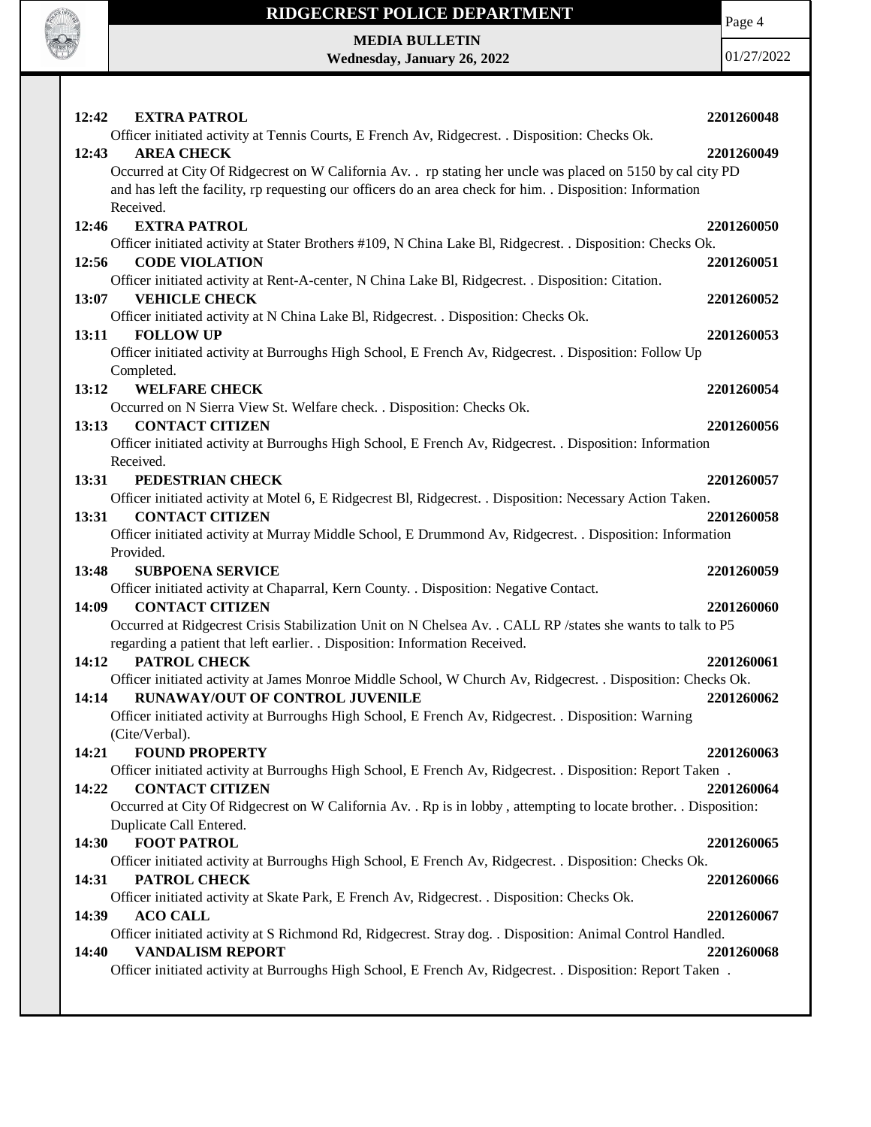

**MEDIA BULLETIN Wednesday, January 26, 2022** Page 4

| 12:42<br><b>EXTRA PATROL</b>                                                                                                         | 2201260048 |
|--------------------------------------------------------------------------------------------------------------------------------------|------------|
| Officer initiated activity at Tennis Courts, E French Av, Ridgecrest. . Disposition: Checks Ok.                                      |            |
| <b>AREA CHECK</b><br>12:43                                                                                                           | 2201260049 |
| Occurred at City Of Ridgecrest on W California Av. . rp stating her uncle was placed on 5150 by cal city PD                          |            |
| and has left the facility, rp requesting our officers do an area check for him. . Disposition: Information                           |            |
| Received.                                                                                                                            |            |
| <b>EXTRA PATROL</b><br>12:46                                                                                                         | 2201260050 |
| Officer initiated activity at Stater Brothers #109, N China Lake Bl, Ridgecrest. . Disposition: Checks Ok.                           |            |
| <b>CODE VIOLATION</b><br>12:56<br>Officer initiated activity at Rent-A-center, N China Lake Bl, Ridgecrest. . Disposition: Citation. | 2201260051 |
| <b>VEHICLE CHECK</b><br>13:07                                                                                                        | 2201260052 |
| Officer initiated activity at N China Lake Bl, Ridgecrest. . Disposition: Checks Ok.                                                 |            |
| 13:11<br><b>FOLLOW UP</b>                                                                                                            | 2201260053 |
| Officer initiated activity at Burroughs High School, E French Av, Ridgecrest. . Disposition: Follow Up                               |            |
| Completed.                                                                                                                           |            |
| <b>WELFARE CHECK</b><br>13:12                                                                                                        | 2201260054 |
| Occurred on N Sierra View St. Welfare check. . Disposition: Checks Ok.                                                               |            |
| <b>CONTACT CITIZEN</b><br>13:13                                                                                                      | 2201260056 |
| Officer initiated activity at Burroughs High School, E French Av, Ridgecrest. . Disposition: Information                             |            |
| Received.                                                                                                                            |            |
| PEDESTRIAN CHECK<br>13:31                                                                                                            | 2201260057 |
| Officer initiated activity at Motel 6, E Ridgecrest Bl, Ridgecrest. . Disposition: Necessary Action Taken.                           |            |
| <b>CONTACT CITIZEN</b><br>13:31                                                                                                      | 2201260058 |
| Officer initiated activity at Murray Middle School, E Drummond Av, Ridgecrest. . Disposition: Information                            |            |
| Provided.                                                                                                                            |            |
| <b>SUBPOENA SERVICE</b><br>13:48                                                                                                     | 2201260059 |
| Officer initiated activity at Chaparral, Kern County. . Disposition: Negative Contact.                                               |            |
| <b>CONTACT CITIZEN</b><br>14:09                                                                                                      | 2201260060 |
| Occurred at Ridgecrest Crisis Stabilization Unit on N Chelsea Av. . CALL RP/states she wants to talk to P5                           |            |
| regarding a patient that left earlier. . Disposition: Information Received.                                                          |            |
| 14:12<br>PATROL CHECK                                                                                                                | 2201260061 |
| Officer initiated activity at James Monroe Middle School, W Church Av, Ridgecrest. . Disposition: Checks Ok.                         |            |
| RUNAWAY/OUT OF CONTROL JUVENILE<br>14:14                                                                                             | 2201260062 |
| Officer initiated activity at Burroughs High School, E French Av, Ridgecrest. . Disposition: Warning                                 |            |
| (Cite/Verbal).                                                                                                                       |            |
| 14:21<br><b>FOUND PROPERTY</b>                                                                                                       | 2201260063 |
|                                                                                                                                      |            |
| Officer initiated activity at Burroughs High School, E French Av, Ridgecrest. . Disposition: Report Taken.                           |            |
| 14:22<br><b>CONTACT CITIZEN</b>                                                                                                      | 2201260064 |
| Occurred at City Of Ridgecrest on W California Av. . Rp is in lobby, attempting to locate brother. . Disposition:                    |            |
| Duplicate Call Entered.                                                                                                              |            |
| <b>FOOT PATROL</b><br>14:30                                                                                                          | 2201260065 |
| Officer initiated activity at Burroughs High School, E French Av, Ridgecrest. . Disposition: Checks Ok.                              |            |
| PATROL CHECK<br>14:31                                                                                                                | 2201260066 |
| Officer initiated activity at Skate Park, E French Av, Ridgecrest. . Disposition: Checks Ok.                                         |            |
| <b>ACO CALL</b><br>14:39                                                                                                             | 2201260067 |
| Officer initiated activity at S Richmond Rd, Ridgecrest. Stray dog. . Disposition: Animal Control Handled.                           |            |
| <b>VANDALISM REPORT</b><br>14:40                                                                                                     | 2201260068 |
| Officer initiated activity at Burroughs High School, E French Av, Ridgecrest. . Disposition: Report Taken.                           |            |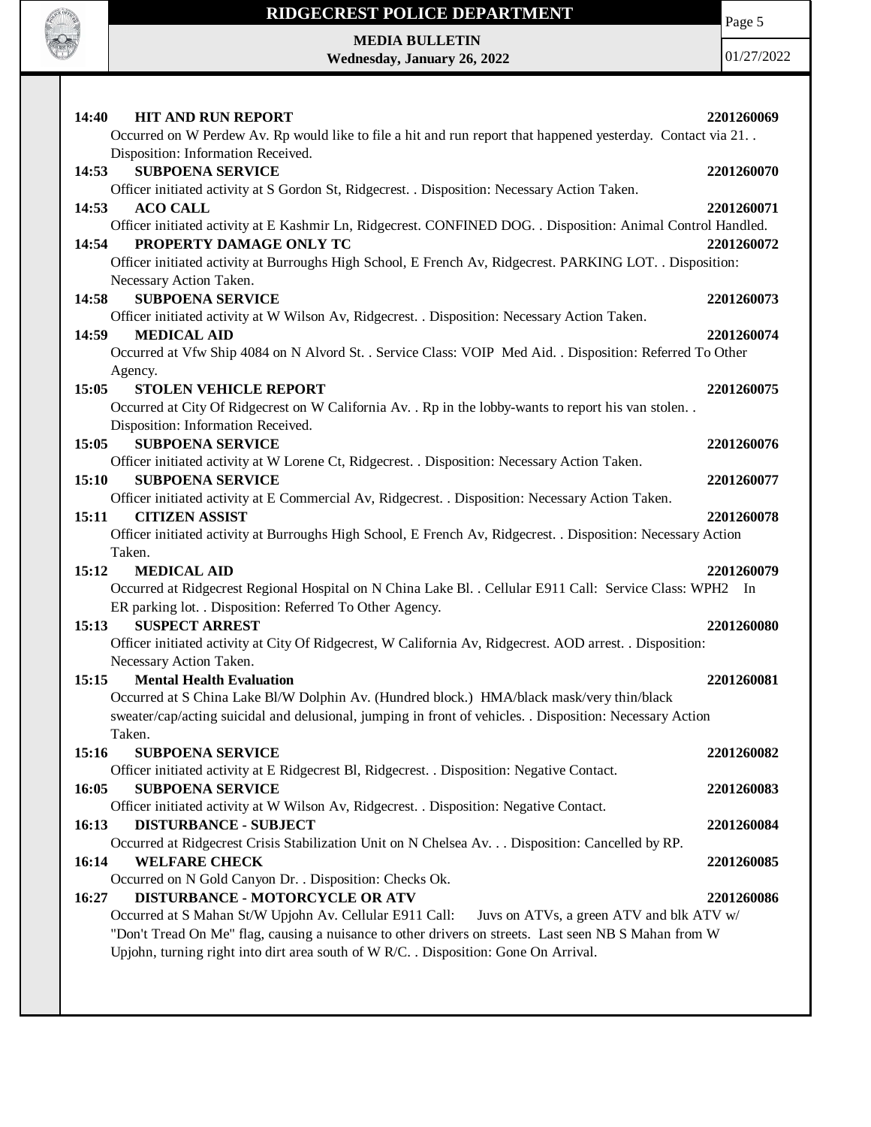

Page 5

**MEDIA BULLETIN Wednesday, January 26, 2022**

| <b>HIT AND RUN REPORT</b><br>14:40                                                                            | 2201260069 |
|---------------------------------------------------------------------------------------------------------------|------------|
| Occurred on W Perdew Av. Rp would like to file a hit and run report that happened yesterday. Contact via 21   |            |
| Disposition: Information Received.                                                                            |            |
| <b>SUBPOENA SERVICE</b><br>14:53                                                                              | 2201260070 |
| Officer initiated activity at S Gordon St, Ridgecrest. . Disposition: Necessary Action Taken.                 |            |
| <b>ACO CALL</b><br>14:53                                                                                      | 2201260071 |
| Officer initiated activity at E Kashmir Ln, Ridgecrest. CONFINED DOG. . Disposition: Animal Control Handled.  |            |
| PROPERTY DAMAGE ONLY TC<br>14:54                                                                              | 2201260072 |
| Officer initiated activity at Burroughs High School, E French Av, Ridgecrest. PARKING LOT. . Disposition:     |            |
| Necessary Action Taken.                                                                                       |            |
| <b>SUBPOENA SERVICE</b><br>14:58                                                                              | 2201260073 |
| Officer initiated activity at W Wilson Av, Ridgecrest. . Disposition: Necessary Action Taken.                 |            |
| <b>MEDICAL AID</b><br>14:59                                                                                   | 2201260074 |
| Occurred at Vfw Ship 4084 on N Alvord St. . Service Class: VOIP Med Aid. . Disposition: Referred To Other     |            |
| Agency.                                                                                                       |            |
| 15:05<br><b>STOLEN VEHICLE REPORT</b>                                                                         | 2201260075 |
| Occurred at City Of Ridgecrest on W California Av. . Rp in the lobby-wants to report his van stolen. .        |            |
| Disposition: Information Received.                                                                            |            |
| 15:05<br><b>SUBPOENA SERVICE</b>                                                                              | 2201260076 |
| Officer initiated activity at W Lorene Ct, Ridgecrest. . Disposition: Necessary Action Taken.                 |            |
| <b>SUBPOENA SERVICE</b><br>15:10                                                                              | 2201260077 |
|                                                                                                               |            |
| Officer initiated activity at E Commercial Av, Ridgecrest. . Disposition: Necessary Action Taken.             |            |
| <b>CITIZEN ASSIST</b><br>15:11                                                                                | 2201260078 |
| Officer initiated activity at Burroughs High School, E French Av, Ridgecrest. . Disposition: Necessary Action |            |
| Taken.                                                                                                        |            |
| 15:12<br><b>MEDICAL AID</b>                                                                                   | 2201260079 |
| Occurred at Ridgecrest Regional Hospital on N China Lake Bl. . Cellular E911 Call: Service Class: WPH2 In     |            |
| ER parking lot. . Disposition: Referred To Other Agency.                                                      |            |
| <b>SUSPECT ARREST</b><br>15:13                                                                                | 2201260080 |
| Officer initiated activity at City Of Ridgecrest, W California Av, Ridgecrest. AOD arrest. . Disposition:     |            |
| Necessary Action Taken.                                                                                       |            |
| 15:15<br><b>Mental Health Evaluation</b>                                                                      | 2201260081 |
| Occurred at S China Lake Bl/W Dolphin Av. (Hundred block.) HMA/black mask/very thin/black                     |            |
| sweater/cap/acting suicidal and delusional, jumping in front of vehicles. . Disposition: Necessary Action     |            |
| Taken.                                                                                                        |            |
| <b>SUBPOENA SERVICE</b><br>15:16                                                                              | 2201260082 |
| Officer initiated activity at E Ridgecrest Bl, Ridgecrest. . Disposition: Negative Contact.                   |            |
| 16:05<br><b>SUBPOENA SERVICE</b>                                                                              | 2201260083 |
| Officer initiated activity at W Wilson Av, Ridgecrest. . Disposition: Negative Contact.                       |            |
| 16:13<br><b>DISTURBANCE - SUBJECT</b>                                                                         | 2201260084 |
| Occurred at Ridgecrest Crisis Stabilization Unit on N Chelsea Av. Disposition: Cancelled by RP.               |            |
| <b>WELFARE CHECK</b><br>16:14                                                                                 | 2201260085 |
| Occurred on N Gold Canyon Dr. . Disposition: Checks Ok.                                                       |            |
| <b>DISTURBANCE - MOTORCYCLE OR ATV</b><br>16:27                                                               | 2201260086 |
| Occurred at S Mahan St/W Upjohn Av. Cellular E911 Call:<br>Juvs on ATVs, a green ATV and blk ATV w/           |            |
| "Don't Tread On Me" flag, causing a nuisance to other drivers on streets. Last seen NB S Mahan from W         |            |
| Upjohn, turning right into dirt area south of W R/C. . Disposition: Gone On Arrival.                          |            |
|                                                                                                               |            |
|                                                                                                               |            |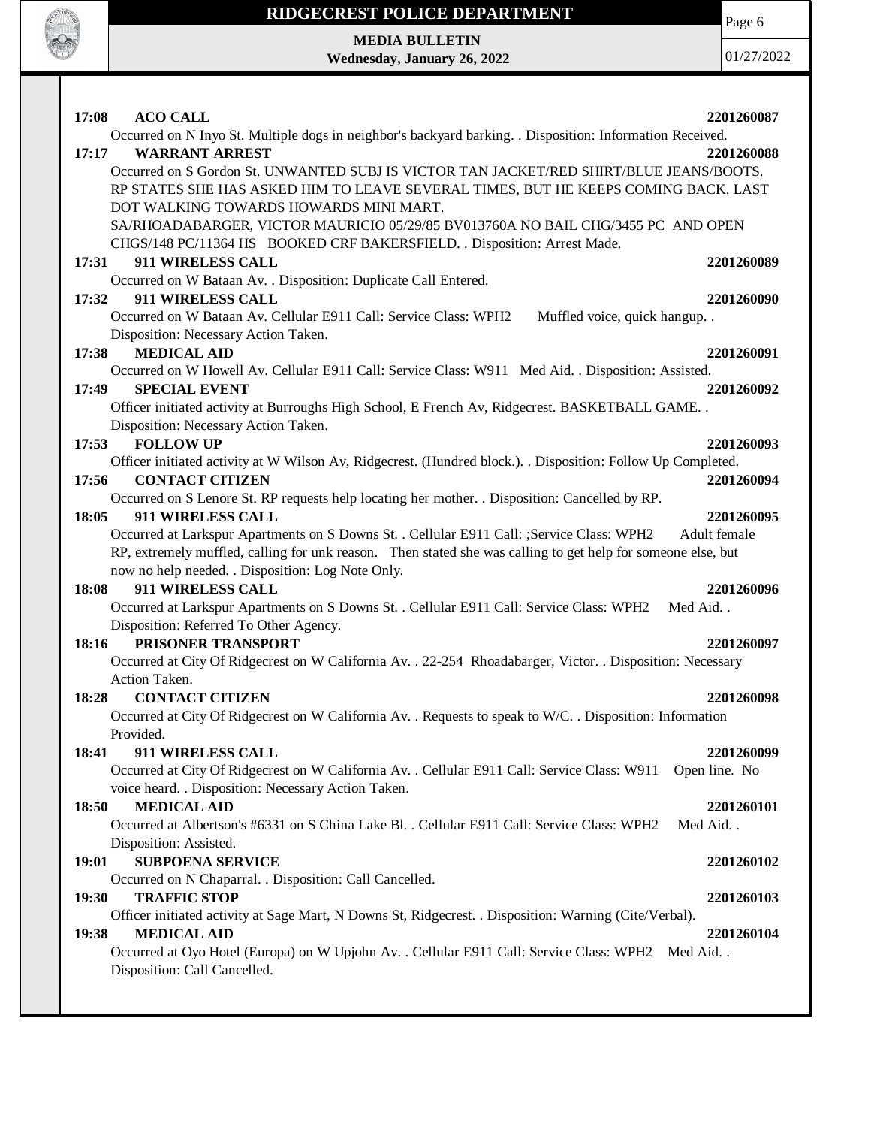

Page 6

**MEDIA BULLETIN Wednesday, January 26, 2022**

| 17:08<br><b>ACO CALL</b>                                                                                     | 2201260087               |
|--------------------------------------------------------------------------------------------------------------|--------------------------|
| Occurred on N Inyo St. Multiple dogs in neighbor's backyard barking. . Disposition: Information Received.    |                          |
| <b>WARRANT ARREST</b><br>17:17                                                                               | 2201260088               |
| Occurred on S Gordon St. UNWANTED SUBJ IS VICTOR TAN JACKET/RED SHIRT/BLUE JEANS/BOOTS.                      |                          |
| RP STATES SHE HAS ASKED HIM TO LEAVE SEVERAL TIMES, BUT HE KEEPS COMING BACK. LAST                           |                          |
| DOT WALKING TOWARDS HOWARDS MINI MART.                                                                       |                          |
| SA/RHOADABARGER, VICTOR MAURICIO 05/29/85 BV013760A NO BAIL CHG/3455 PC AND OPEN                             |                          |
| CHGS/148 PC/11364 HS BOOKED CRF BAKERSFIELD. . Disposition: Arrest Made.                                     |                          |
| 17:31<br>911 WIRELESS CALL                                                                                   | 2201260089               |
| Occurred on W Bataan Av. . Disposition: Duplicate Call Entered.<br>911 WIRELESS CALL<br>17:32                |                          |
| Occurred on W Bataan Av. Cellular E911 Call: Service Class: WPH2<br>Muffled voice, quick hangup. .           | 2201260090               |
| Disposition: Necessary Action Taken.                                                                         |                          |
| 17:38<br><b>MEDICAL AID</b>                                                                                  | 2201260091               |
| Occurred on W Howell Av. Cellular E911 Call: Service Class: W911 Med Aid. . Disposition: Assisted.           |                          |
| 17:49<br><b>SPECIAL EVENT</b>                                                                                | 2201260092               |
| Officer initiated activity at Burroughs High School, E French Av, Ridgecrest. BASKETBALL GAME                |                          |
| Disposition: Necessary Action Taken.                                                                         |                          |
| <b>FOLLOW UP</b><br>17:53                                                                                    | 2201260093               |
| Officer initiated activity at W Wilson Av, Ridgecrest. (Hundred block.). . Disposition: Follow Up Completed. |                          |
| <b>CONTACT CITIZEN</b><br>17:56                                                                              | 2201260094               |
| Occurred on S Lenore St. RP requests help locating her mother. . Disposition: Cancelled by RP.               |                          |
| 911 WIRELESS CALL<br>18:05                                                                                   | 2201260095               |
| Occurred at Larkspur Apartments on S Downs St. . Cellular E911 Call: ;Service Class: WPH2                    | Adult female             |
| RP, extremely muffled, calling for unk reason. Then stated she was calling to get help for someone else, but |                          |
| now no help needed. . Disposition: Log Note Only.                                                            |                          |
| 911 WIRELESS CALL<br>18:08                                                                                   | 2201260096               |
| Occurred at Larkspur Apartments on S Downs St. . Cellular E911 Call: Service Class: WPH2<br>Med Aid          |                          |
| Disposition: Referred To Other Agency.                                                                       |                          |
| 18:16<br>PRISONER TRANSPORT                                                                                  | 2201260097               |
| Occurred at City Of Ridgecrest on W California Av. . 22-254 Rhoadabarger, Victor. . Disposition: Necessary   |                          |
| Action Taken.                                                                                                |                          |
| <b>CONTACT CITIZEN</b><br>18:28                                                                              | 2201260098               |
| Occurred at City Of Ridgecrest on W California Av. . Requests to speak to W/C. . Disposition: Information    |                          |
| Provided.                                                                                                    |                          |
| 911 WIRELESS CALL<br>18:41                                                                                   | 2201260099               |
| Occurred at City Of Ridgecrest on W California Av. . Cellular E911 Call: Service Class: W911                 | Open line. No            |
| voice heard. . Disposition: Necessary Action Taken.<br>18:50<br><b>MEDICAL AID</b>                           |                          |
| Occurred at Albertson's #6331 on S China Lake Bl. . Cellular E911 Call: Service Class: WPH2                  | 2201260101<br>Med Aid. . |
| Disposition: Assisted.                                                                                       |                          |
| <b>SUBPOENA SERVICE</b><br>19:01                                                                             |                          |
| Occurred on N Chaparral. . Disposition: Call Cancelled.                                                      | 2201260102               |
| <b>TRAFFIC STOP</b><br>19:30                                                                                 | 2201260103               |
| Officer initiated activity at Sage Mart, N Downs St, Ridgecrest. . Disposition: Warning (Cite/Verbal).       |                          |
| <b>MEDICAL AID</b><br>19:38                                                                                  | 2201260104               |
| Occurred at Oyo Hotel (Europa) on W Upjohn Av. . Cellular E911 Call: Service Class: WPH2<br>Med Aid          |                          |
| Disposition: Call Cancelled.                                                                                 |                          |
|                                                                                                              |                          |
|                                                                                                              |                          |